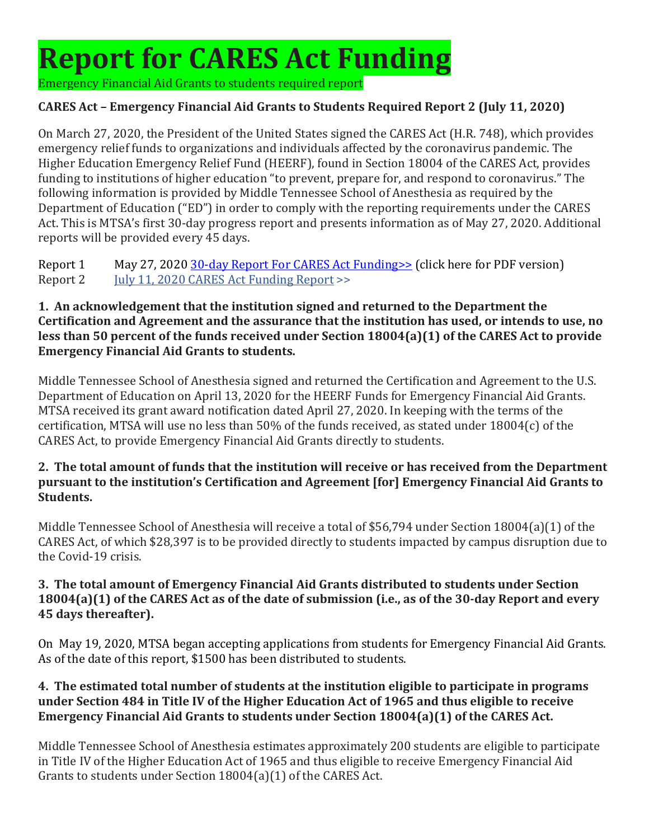# **Report for CARES Act Funding**

Emergency Financial Aid Grants to students required report

# **CARES Act – Emergency Financial Aid Grants to Students Required Report 2 (July 11, 2020)**

On March 27, 2020, the President of the United States signed the CARES Act (H.R. 748), which provides emergency relief funds to organizations and individuals affected by the coronavirus pandemic. The Higher Education Emergency Relief Fund (HEERF), found in Section 18004 of the CARES Act, provides funding to institutions of higher education "to prevent, prepare for, and respond to coronavirus." The following information is provided by Middle Tennessee School of Anesthesia as required by the Department of Education ("ED") in order to comply with the reporting requirements under the CARES Act. This is MTSA's first 30-day progress report and presents information as of May 27, 2020. Additional reports will be provided every 45 days.

Report 1 May 27, 2020 30-day Report For CARES Act Funding >> (click here for PDF version)<br>Report 2 July 11, 2020 CARES Act Funding Report >> July 11, 2020 CARES Act Funding Report >>

#### **1. An acknowledgement that the institution signed and returned to the Department the Certification and Agreement and the assurance that the institution has used, or intends to use, no less than 50 percent of the funds received under Section 18004(a)(1) of the CARES Act to provide Emergency Financial Aid Grants to students.**

Middle Tennessee School of Anesthesia signed and returned the Certification and Agreement to the U.S. Department of Education on April 13, 2020 for the HEERF Funds for Emergency Financial Aid Grants. MTSA received its grant award notification dated April 27, 2020. In keeping with the terms of the certification, MTSA will use no less than 50% of the funds received, as stated under 18004(c) of the CARES Act, to provide Emergency Financial Aid Grants directly to students.

#### **2. The total amount of funds that the institution will receive or has received from the Department pursuant to the institution's Certification and Agreement [for] Emergency Financial Aid Grants to Students.**

Middle Tennessee School of Anesthesia will receive a total of \$56,794 under Section 18004(a)(1) of the CARES Act, of which \$28,397 is to be provided directly to students impacted by campus disruption due to the Covid-19 crisis.

#### **3. The total amount of Emergency Financial Aid Grants distributed to students under Section 18004(a)(1) of the CARES Act as of the date of submission (i.e., as of the 30-day Report and every 45 days thereafter).**

On May 19, 2020, MTSA began accepting applications from students for Emergency Financial Aid Grants. As of the date of this report, \$1500 has been distributed to students.

## **4. The estimated total number of students at the institution eligible to participate in programs under Section 484 in Title IV of the Higher Education Act of 1965 and thus eligible to receive Emergency Financial Aid Grants to students under Section 18004(a)(1) of the CARES Act.**

Middle Tennessee School of Anesthesia estimates approximately 200 students are eligible to participate in Title IV of the Higher Education Act of 1965 and thus eligible to receive Emergency Financial Aid Grants to students under Section 18004(a)(1) of the CARES Act.